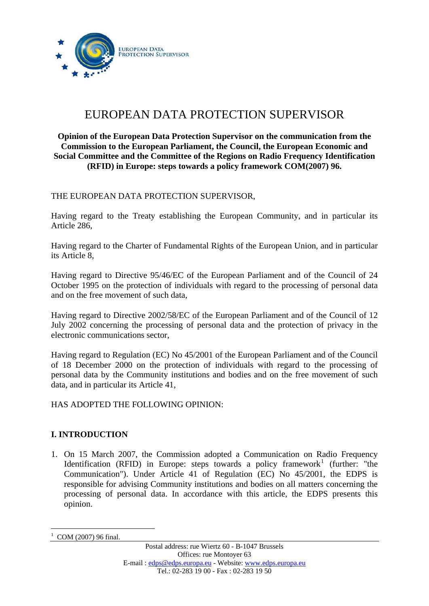

# EUROPEAN DATA PROTECTION SUPERVISOR

## **Opinion of the European Data Protection Supervisor on the communication from the Commission to the European Parliament, the Council, the European Economic and Social Committee and the Committee of the Regions on Radio Frequency Identification (RFID) in Europe: steps towards a policy framework COM(2007) 96.**

THE EUROPEAN DATA PROTECTION SUPERVISOR,

Having regard to the Treaty establishing the European Community, and in particular its Article 286,

Having regard to the Charter of Fundamental Rights of the European Union, and in particular its Article 8,

Having regard to Directive 95/46/EC of the European Parliament and of the Council of 24 October 1995 on the protection of individuals with regard to the processing of personal data and on the free movement of such data,

Having regard to Directive 2002/58/EC of the European Parliament and of the Council of 12 July 2002 concerning the processing of personal data and the protection of privacy in the electronic communications sector,

Having regard to Regulation (EC) No 45/2001 of the European Parliament and of the Council of 18 December 2000 on the protection of individuals with regard to the processing of personal data by the Community institutions and bodies and on the free movement of such data, and in particular its Article 41,

HAS ADOPTED THE FOLLOWING OPINION:

# **I. INTRODUCTION**

1. On 15 March 2007, the Commission adopted a Communication on Radio Frequency Identification (RFID) in Europe: steps towards a policy framework<sup>[1](#page-0-0)</sup> (further: "the Communication"). Under Article 41 of Regulation (EC) No 45/2001, the EDPS is responsible for advising Community institutions and bodies on all matters concerning the processing of personal data. In accordance with this article, the EDPS presents this opinion.

<span id="page-0-0"></span><sup>1</sup> 1 COM (2007) 96 final.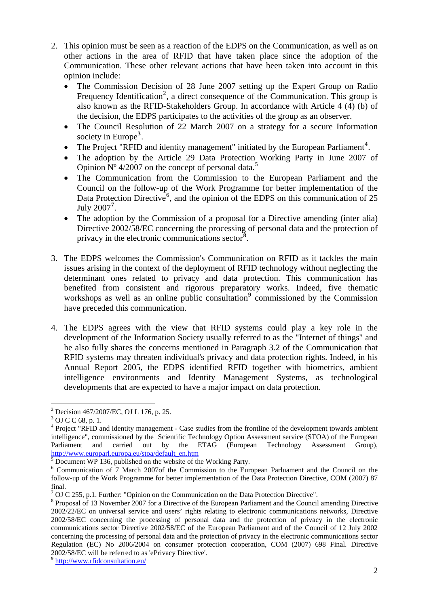- 2. This opinion must be seen as a reaction of the EDPS on the Communication, as well as on other actions in the area of RFID that have taken place since the adoption of the Communication. These other relevant actions that have been taken into account in this opinion include:
	- The Commission Decision of 28 June 2007 setting up the Expert Group on Radio Frequency Identification<sup>[2](#page-1-0)</sup>, a direct consequence of the Communication. This group is also known as the RFID-Stakeholders Group. In accordance with Article 4 (4) (b) of the decision, the EDPS participates to the activities of the group as an observer.
	- The Council Resolution of 22 March 2007 on a strategy for a secure Information society in Europe**[3](#page-1-1)** .
	- The Project "RFID and identity management" initiated by the European Parliament<sup>[4](#page-1-2)</sup>.
	- The adoption by the Article 29 Data Protection Working Party in June 2007 of Opinion  $N^{\circ}$  4/2007 on the concept of personal data.<sup>[5](#page-1-3)</sup>
	- The Communication from the Commission to the European Parliament and the Council on the follow-up of the Work Programme for better implementation of the Data Protection Directive<sup>[6](#page-1-4)</sup>, and the opinion of the EDPS on this communication of 25 July 2007**[7](#page-1-5)** .
	- The adoption by the Commission of a proposal for a Directive amending (inter alia) Directive 2002/58/EC concerning the processing of personal data and the protection of privacy in the electronic communications sector**[8](#page-1-6)** .
- 3. The EDPS welcomes the Commission's Communication on RFID as it tackles the main issues arising in the context of the deployment of RFID technology without neglecting the determinant ones related to privacy and data protection. This communication has benefited from consistent and rigorous preparatory works. Indeed, five thematic workshops as well as an online public consultation<sup>[9](#page-1-7)</sup> commissioned by the Commission have preceded this communication.
- 4. The EDPS agrees with the view that RFID systems could play a key role in the development of the Information Society usually referred to as the "Internet of things" and he also fully shares the concerns mentioned in Paragraph 3.2 of the Communication that RFID systems may threaten individual's privacy and data protection rights. Indeed, in his Annual Report 2005, the EDPS identified RFID together with biometrics, ambient intelligence environments and Identity Management Systems, as technological developments that are expected to have a major impact on data protection.

<sup>1</sup> <sup>2</sup> Decision 467/2007/EC, OJ L 176, p. 25.

<span id="page-1-0"></span><sup>&</sup>lt;sup>3</sup> OJ C C 68, p. 1.

<span id="page-1-2"></span><span id="page-1-1"></span><sup>&</sup>lt;sup>4</sup> Project "RFID and identity management - Case studies from the frontline of the development towards ambient intelligence", commissioned by the Scientific Technology Option Assessment service (STOA) of the European Parliament and carried out by the ETAG (European Technology Assessment Group), http://www.europarl.europa.eu/stoa/default\_en.htm

Document WP 136, published on the website of the Working Party.

<span id="page-1-4"></span><span id="page-1-3"></span><sup>6</sup> Communication of 7 March 2007of the Commission to the European Parluament and the Council on the follow-up of the Work Programme for better implementation of the Data Protection Directive, COM (2007) 87 final.

 $7$  OJ C 255, p.1. Further: "Opinion on the Communication on the Data Protection Directive".

<span id="page-1-6"></span><span id="page-1-5"></span><sup>&</sup>lt;sup>8</sup> Proposal of 13 November 2007 for a Directive of the European Parliament and the Council amending Directive 2002/22/EC on universal service and users' rights relating to electronic communications networks, Directive 2002/58/EC concerning the processing of personal data and the protection of privacy in the electronic communications sector Directive 2002/58/EC of the European Parliament and of the Council of 12 July 2002 concerning the processing of personal data and the protection of privacy in the electronic communications sector Regulation (EC) No 2006/2004 on consumer protection cooperation, COM (2007) 698 Final. Directive 2002/58/EC will be referred to as 'ePrivacy Directive'.  $\degree$  http://ww<u>w.rfidconsultation.eu</u>/

<span id="page-1-7"></span>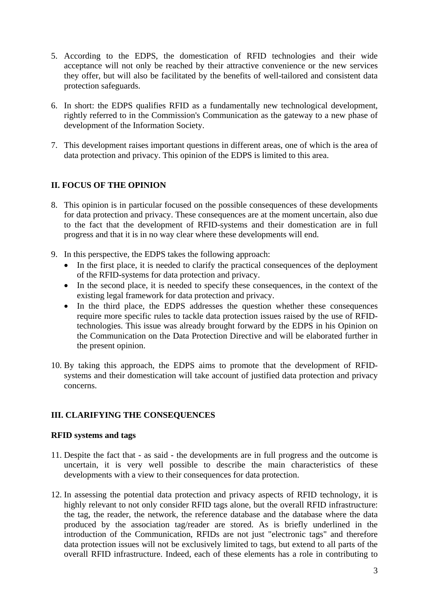- 5. According to the EDPS, the domestication of RFID technologies and their wide acceptance will not only be reached by their attractive convenience or the new services they offer, but will also be facilitated by the benefits of well-tailored and consistent data protection safeguards.
- 6. In short: the EDPS qualifies RFID as a fundamentally new technological development, rightly referred to in the Commission's Communication as the gateway to a new phase of development of the Information Society.
- 7. This development raises important questions in different areas, one of which is the area of data protection and privacy. This opinion of the EDPS is limited to this area.

# **II. FOCUS OF THE OPINION**

- 8. This opinion is in particular focused on the possible consequences of these developments for data protection and privacy. These consequences are at the moment uncertain, also due to the fact that the development of RFID-systems and their domestication are in full progress and that it is in no way clear where these developments will end.
- 9. In this perspective, the EDPS takes the following approach:
	- In the first place, it is needed to clarify the practical consequences of the deployment of the RFID-systems for data protection and privacy.
	- In the second place, it is needed to specify these consequences, in the context of the existing legal framework for data protection and privacy.
	- In the third place, the EDPS addresses the question whether these consequences require more specific rules to tackle data protection issues raised by the use of RFIDtechnologies. This issue was already brought forward by the EDPS in his Opinion on the Communication on the Data Protection Directive and will be elaborated further in the present opinion.
- 10. By taking this approach, the EDPS aims to promote that the development of RFIDsystems and their domestication will take account of justified data protection and privacy concerns.

# **III. CLARIFYING THE CONSEQUENCES**

# **RFID systems and tags**

- 11. Despite the fact that as said the developments are in full progress and the outcome is uncertain, it is very well possible to describe the main characteristics of these developments with a view to their consequences for data protection.
- 12. In assessing the potential data protection and privacy aspects of RFID technology, it is highly relevant to not only consider RFID tags alone, but the overall RFID infrastructure: the tag, the reader, the network, the reference database and the database where the data produced by the association tag/reader are stored. As is briefly underlined in the introduction of the Communication, RFIDs are not just "electronic tags" and therefore data protection issues will not be exclusively limited to tags, but extend to all parts of the overall RFID infrastructure. Indeed, each of these elements has a role in contributing to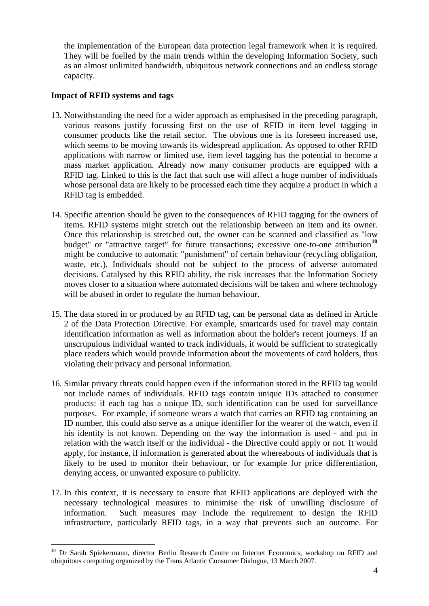the implementation of the European data protection legal framework when it is required. They will be fuelled by the main trends within the developing Information Society, such as an almost unlimited bandwidth, ubiquitous network connections and an endless storage capacity.

## **Impact of RFID systems and tags**

- 13. Notwithstanding the need for a wider approach as emphasised in the preceding paragraph, various reasons justify focussing first on the use of RFID in item level tagging in consumer products like the retail sector. The obvious one is its foreseen increased use, which seems to be moving towards its widespread application. As opposed to other RFID applications with narrow or limited use, item level tagging has the potential to become a mass market application. Already now many consumer products are equipped with a RFID tag. Linked to this is the fact that such use will affect a huge number of individuals whose personal data are likely to be processed each time they acquire a product in which a RFID tag is embedded.
- 14. Specific attention should be given to the consequences of RFID tagging for the owners of items. RFID systems might stretch out the relationship between an item and its owner. Once this relationship is stretched out, the owner can be scanned and classified as "low budget" or "attractive target" for future transactions; excessive one-to-one attribution<sup>[10](#page-3-0)</sup> might be conducive to automatic "punishment" of certain behaviour (recycling obligation, waste, etc.). Individuals should not be subject to the process of adverse automated decisions. Catalysed by this RFID ability, the risk increases that the Information Society moves closer to a situation where automated decisions will be taken and where technology will be abused in order to regulate the human behaviour.
- 15. The data stored in or produced by an RFID tag, can be personal data as defined in Article 2 of the Data Protection Directive. For example, smartcards used for travel may contain identification information as well as information about the holder's recent journeys. If an unscrupulous individual wanted to track individuals, it would be sufficient to strategically place readers which would provide information about the movements of card holders, thus violating their privacy and personal information.
- 16. Similar privacy threats could happen even if the information stored in the RFID tag would not include names of individuals. RFID tags contain unique IDs attached to consumer products: if each tag has a unique ID, such identification can be used for surveillance purposes. For example, if someone wears a watch that carries an RFID tag containing an ID number, this could also serve as a unique identifier for the wearer of the watch, even if his identity is not known. Depending on the way the information is used - and put in relation with the watch itself or the individual - the Directive could apply or not. It would apply, for instance, if information is generated about the whereabouts of individuals that is likely to be used to monitor their behaviour, or for example for price differentiation, denying access, or unwanted exposure to publicity.
- 17. In this context, it is necessary to ensure that RFID applications are deployed with the necessary technological measures to minimise the risk of unwilling disclosure of information. Such measures may include the requirement to design the RFID infrastructure, particularly RFID tags, in a way that prevents such an outcome. For

<span id="page-3-0"></span><sup>&</sup>lt;sup>10</sup> Dr Sarah Spiekermann, director Berlin Research Centre on Internet Economics, workshop on RFID and ubiquitous computing organized by the Trans Atlantic Consumer Dialogue, 13 March 2007.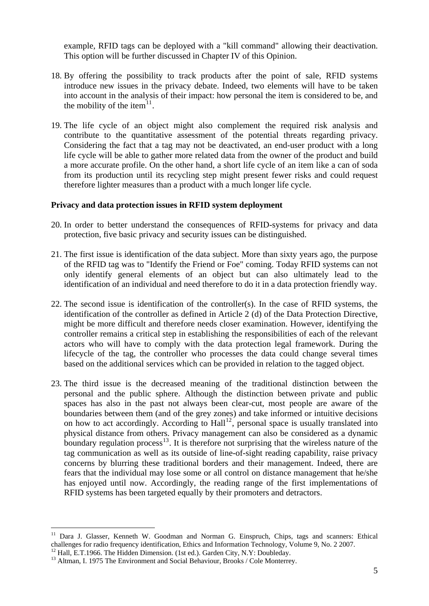example, RFID tags can be deployed with a "kill command" allowing their deactivation. This option will be further discussed in Chapter IV of this Opinion.

- 18. By offering the possibility to track products after the point of sale, RFID systems introduce new issues in the privacy debate. Indeed, two elements will have to be taken into account in the analysis of their impact: how personal the item is considered to be, and the mobility of the item $^{11}$  $^{11}$  $^{11}$ .
- 19. The life cycle of an object might also complement the required risk analysis and contribute to the quantitative assessment of the potential threats regarding privacy. Considering the fact that a tag may not be deactivated, an end-user product with a long life cycle will be able to gather more related data from the owner of the product and build a more accurate profile. On the other hand, a short life cycle of an item like a can of soda from its production until its recycling step might present fewer risks and could request therefore lighter measures than a product with a much longer life cycle.

#### **Privacy and data protection issues in RFID system deployment**

- 20. In order to better understand the consequences of RFID-systems for privacy and data protection, five basic privacy and security issues can be distinguished.
- 21. The first issue is identification of the data subject. More than sixty years ago, the purpose of the RFID tag was to "Identify the Friend or Foe" coming. Today RFID systems can not only identify general elements of an object but can also ultimately lead to the identification of an individual and need therefore to do it in a data protection friendly way.
- 22. The second issue is identification of the controller(s). In the case of RFID systems, the identification of the controller as defined in Article 2 (d) of the Data Protection Directive, might be more difficult and therefore needs closer examination. However, identifying the controller remains a critical step in establishing the responsibilities of each of the relevant actors who will have to comply with the data protection legal framework. During the lifecycle of the tag, the controller who processes the data could change several times based on the additional services which can be provided in relation to the tagged object.
- 23. The third issue is the decreased meaning of the traditional distinction between the personal and the public sphere. Although the distinction between private and public spaces has also in the past not always been clear-cut, most people are aware of the boundaries between them (and of the grey zones) and take informed or intuitive decisions on how to act accordingly. According to Hall<sup>[12](#page-4-1)</sup>, personal space is usually translated into physical distance from others. Privacy management can also be considered as a dynamic boundary regulation process<sup>[13](#page-4-2)</sup>. It is therefore not surprising that the wireless nature of the tag communication as well as its outside of line-of-sight reading capability, raise privacy concerns by blurring these traditional borders and their management. Indeed, there are fears that the individual may lose some or all control on distance management that he/she has enjoyed until now. Accordingly, the reading range of the first implementations of RFID systems has been targeted equally by their promoters and detractors.

<span id="page-4-0"></span><sup>&</sup>lt;sup>11</sup> Dara J. Glasser, Kenneth W. Goodman and Norman G. Einspruch, Chips, tags and scanners: Ethical challenges for radio frequency identification, Ethics and Information Technology, Volume 9, No. 2 2007.

 $12$  Hall, E.T.1966. The Hidden Dimension. (1st ed.). Garden City, N.Y: Doubleday.

<span id="page-4-2"></span><span id="page-4-1"></span><sup>&</sup>lt;sup>13</sup> Altman, I. 1975 The Environment and Social Behaviour, Brooks / Cole Monterrey.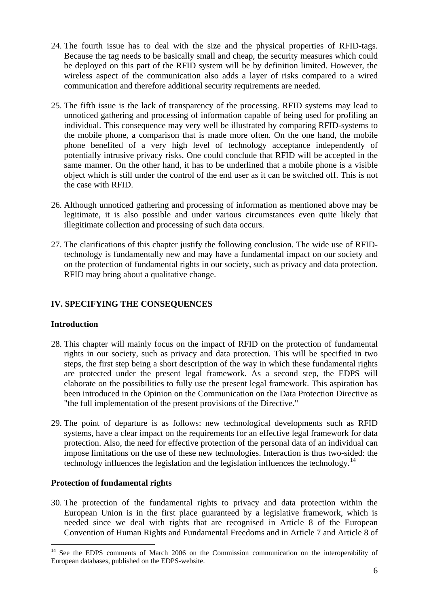- 24. The fourth issue has to deal with the size and the physical properties of RFID-tags. Because the tag needs to be basically small and cheap, the security measures which could be deployed on this part of the RFID system will be by definition limited. However, the wireless aspect of the communication also adds a layer of risks compared to a wired communication and therefore additional security requirements are needed.
- 25. The fifth issue is the lack of transparency of the processing. RFID systems may lead to unnoticed gathering and processing of information capable of being used for profiling an individual. This consequence may very well be illustrated by comparing RFID-systems to the mobile phone, a comparison that is made more often. On the one hand, the mobile phone benefited of a very high level of technology acceptance independently of potentially intrusive privacy risks. One could conclude that RFID will be accepted in the same manner. On the other hand, it has to be underlined that a mobile phone is a visible object which is still under the control of the end user as it can be switched off. This is not the case with RFID.
- 26. Although unnoticed gathering and processing of information as mentioned above may be legitimate, it is also possible and under various circumstances even quite likely that illegitimate collection and processing of such data occurs.
- 27. The clarifications of this chapter justify the following conclusion. The wide use of RFIDtechnology is fundamentally new and may have a fundamental impact on our society and on the protection of fundamental rights in our society, such as privacy and data protection. RFID may bring about a qualitative change.

# **IV. SPECIFYING THE CONSEQUENCES**

### **Introduction**

1

- 28. This chapter will mainly focus on the impact of RFID on the protection of fundamental rights in our society, such as privacy and data protection. This will be specified in two steps, the first step being a short description of the way in which these fundamental rights are protected under the present legal framework. As a second step, the EDPS will elaborate on the possibilities to fully use the present legal framework. This aspiration has been introduced in the Opinion on the Communication on the Data Protection Directive as "the full implementation of the present provisions of the Directive."
- 29. The point of departure is as follows: new technological developments such as RFID systems, have a clear impact on the requirements for an effective legal framework for data protection. Also, the need for effective protection of the personal data of an individual can impose limitations on the use of these new technologies. Interaction is thus two-sided: the technology influences the legislation and the legislation influences the technology.<sup>[14](#page-5-0)</sup>

#### **Protection of fundamental rights**

30. The protection of the fundamental rights to privacy and data protection within the European Union is in the first place guaranteed by a legislative framework, which is needed since we deal with rights that are recognised in Article 8 of the European Convention of Human Rights and Fundamental Freedoms and in Article 7 and Article 8 of

<span id="page-5-0"></span><sup>&</sup>lt;sup>14</sup> See the EDPS comments of March 2006 on the Commission communication on the interoperability of European databases, published on the EDPS-website.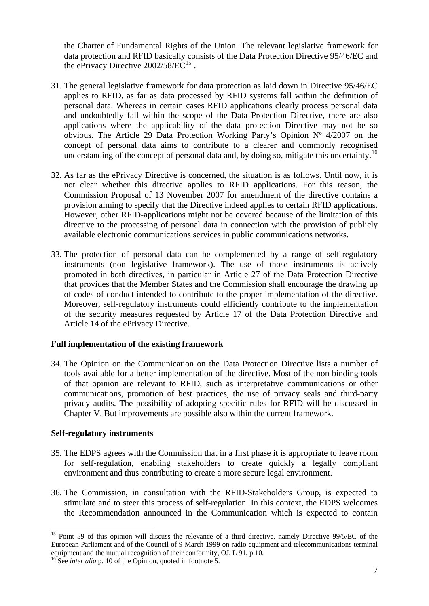the Charter of Fundamental Rights of the Union. The relevant legislative framework for data protection and RFID basically consists of the Data Protection Directive 95/46/EC and the ePrivacy Directive  $2002/58/EC^{15}$ .

- 31. The general legislative framework for data protection as laid down in Directive 95/46/EC applies to RFID, as far as data processed by RFID systems fall within the definition of personal data. Whereas in certain cases RFID applications clearly process personal data and undoubtedly fall within the scope of the Data Protection Directive, there are also applications where the applicability of the data protection Directive may not be so obvious. The Article 29 Data Protection Working Party's Opinion Nº 4/2007 on the concept of personal data aims to contribute to a clearer and commonly recognised understanding of the concept of personal data and, by doing so, mitigate this uncertainty.<sup>[16](#page-6-0)</sup>
- 32. As far as the ePrivacy Directive is concerned, the situation is as follows. Until now, it is not clear whether this directive applies to RFID applications. For this reason, the Commission Proposal of 13 November 2007 for amendment of the directive contains a provision aiming to specify that the Directive indeed applies to certain RFID applications. However, other RFID-applications might not be covered because of the limitation of this directive to the processing of personal data in connection with the provision of publicly available electronic communications services in public communications networks.
- 33. The protection of personal data can be complemented by a range of self-regulatory instruments (non legislative framework). The use of those instruments is actively promoted in both directives, in particular in Article 27 of the Data Protection Directive that provides that the Member States and the Commission shall encourage the drawing up of codes of conduct intended to contribute to the proper implementation of the directive. Moreover, self-regulatory instruments could efficiently contribute to the implementation of the security measures requested by Article 17 of the Data Protection Directive and Article 14 of the ePrivacy Directive.

# **Full implementation of the existing framework**

34. The Opinion on the Communication on the Data Protection Directive lists a number of tools available for a better implementation of the directive. Most of the non binding tools of that opinion are relevant to RFID, such as interpretative communications or other communications, promotion of best practices, the use of privacy seals and third-party privacy audits. The possibility of adopting specific rules for RFID will be discussed in Chapter V. But improvements are possible also within the current framework.

#### **Self-regulatory instruments**

- 35. The EDPS agrees with the Commission that in a first phase it is appropriate to leave room for self-regulation, enabling stakeholders to create quickly a legally compliant environment and thus contributing to create a more secure legal environment.
- 36. The Commission, in consultation with the RFID-Stakeholders Group, is expected to stimulate and to steer this process of self-regulation. In this context, the EDPS welcomes the Recommendation announced in the Communication which is expected to contain

<sup>&</sup>lt;sup>15</sup> Point 59 of this opinion will discuss the relevance of a third directive, namely Directive 99/5/EC of the European Parliament and of the Council of 9 March 1999 on radio equipment and telecommunications terminal equipment and the mutual recognition of their conformity, OJ, L 91, p.10.

<span id="page-6-0"></span><sup>&</sup>lt;sup>16</sup> See *inter alia* p. 10 of the Opinion, quoted in footnote 5.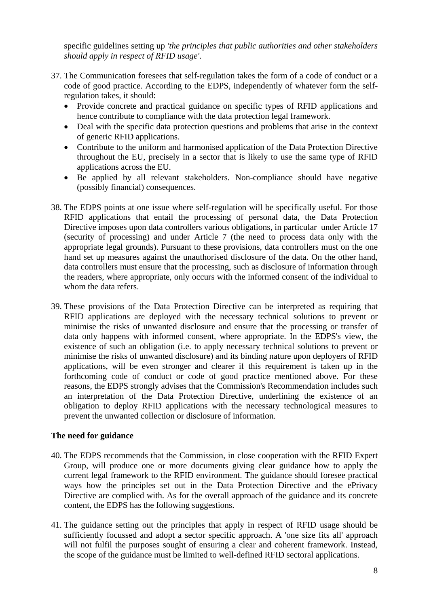specific guidelines setting up *'the principles that public authorities and other stakeholders should apply in respect of RFID usage'*.

- 37. The Communication foresees that self-regulation takes the form of a code of conduct or a code of good practice. According to the EDPS, independently of whatever form the selfregulation takes, it should:
	- Provide concrete and practical guidance on specific types of RFID applications and hence contribute to compliance with the data protection legal framework.
	- Deal with the specific data protection questions and problems that arise in the context of generic RFID applications.
	- Contribute to the uniform and harmonised application of the Data Protection Directive throughout the EU, precisely in a sector that is likely to use the same type of RFID applications across the EU.
	- Be applied by all relevant stakeholders. Non-compliance should have negative (possibly financial) consequences.
- 38. The EDPS points at one issue where self-regulation will be specifically useful. For those RFID applications that entail the processing of personal data, the Data Protection Directive imposes upon data controllers various obligations, in particular under Article 17 (security of processing) and under Article 7 (the need to process data only with the appropriate legal grounds). Pursuant to these provisions, data controllers must on the one hand set up measures against the unauthorised disclosure of the data. On the other hand, data controllers must ensure that the processing, such as disclosure of information through the readers, where appropriate, only occurs with the informed consent of the individual to whom the data refers.
- 39. These provisions of the Data Protection Directive can be interpreted as requiring that RFID applications are deployed with the necessary technical solutions to prevent or minimise the risks of unwanted disclosure and ensure that the processing or transfer of data only happens with informed consent, where appropriate. In the EDPS's view, the existence of such an obligation (i.e. to apply necessary technical solutions to prevent or minimise the risks of unwanted disclosure) and its binding nature upon deployers of RFID applications, will be even stronger and clearer if this requirement is taken up in the forthcoming code of conduct or code of good practice mentioned above. For these reasons, the EDPS strongly advises that the Commission's Recommendation includes such an interpretation of the Data Protection Directive, underlining the existence of an obligation to deploy RFID applications with the necessary technological measures to prevent the unwanted collection or disclosure of information.

# **The need for guidance**

- 40. The EDPS recommends that the Commission, in close cooperation with the RFID Expert Group, will produce one or more documents giving clear guidance how to apply the current legal framework to the RFID environment. The guidance should foresee practical ways how the principles set out in the Data Protection Directive and the ePrivacy Directive are complied with. As for the overall approach of the guidance and its concrete content, the EDPS has the following suggestions.
- 41. The guidance setting out the principles that apply in respect of RFID usage should be sufficiently focussed and adopt a sector specific approach. A 'one size fits all' approach will not fulfil the purposes sought of ensuring a clear and coherent framework. Instead, the scope of the guidance must be limited to well-defined RFID sectoral applications.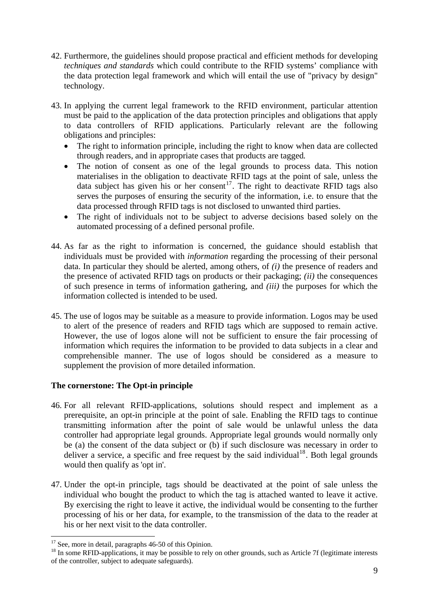- 42. Furthermore, the guidelines should propose practical and efficient methods for developing *techniques and standards* which could contribute to the RFID systems' compliance with the data protection legal framework and which will entail the use of "privacy by design" technology.
- 43. In applying the current legal framework to the RFID environment, particular attention must be paid to the application of the data protection principles and obligations that apply to data controllers of RFID applications. Particularly relevant are the following obligations and principles:
	- The right to information principle, including the right to know when data are collected through readers, and in appropriate cases that products are tagged*.*
	- The notion of consent as one of the legal grounds to process data. This notion materialises in the obligation to deactivate RFID tags at the point of sale, unless the data subject has given his or her consent<sup>[17](#page-8-0)</sup>. The right to deactivate RFID tags also serves the purposes of ensuring the security of the information, i.e. to ensure that the data processed through RFID tags is not disclosed to unwanted third parties.
	- The right of individuals not to be subject to adverse decisions based solely on the automated processing of a defined personal profile.
- 44. As far as the right to information is concerned, the guidance should establish that individuals must be provided with *information* regarding the processing of their personal data. In particular they should be alerted, among others, of *(i)* the presence of readers and the presence of activated RFID tags on products or their packaging; *(ii)* the consequences of such presence in terms of information gathering, and *(iii)* the purposes for which the information collected is intended to be used.
- 45. The use of logos may be suitable as a measure to provide information. Logos may be used to alert of the presence of readers and RFID tags which are supposed to remain active. However, the use of logos alone will not be sufficient to ensure the fair processing of information which requires the information to be provided to data subjects in a clear and comprehensible manner. The use of logos should be considered as a measure to supplement the provision of more detailed information.

# **The cornerstone: The Opt-in principle**

- 46. For all relevant RFID-applications, solutions should respect and implement as a prerequisite, an opt-in principle at the point of sale. Enabling the RFID tags to continue transmitting information after the point of sale would be unlawful unless the data controller had appropriate legal grounds. Appropriate legal grounds would normally only be (a) the consent of the data subject or (b) if such disclosure was necessary in order to deliver a service, a specific and free request by the said individual<sup>[18](#page-8-1)</sup>. Both legal grounds would then qualify as 'opt in'.
- 47. Under the opt-in principle, tags should be deactivated at the point of sale unless the individual who bought the product to which the tag is attached wanted to leave it active. By exercising the right to leave it active, the individual would be consenting to the further processing of his or her data, for example, to the transmission of the data to the reader at his or her next visit to the data controller.

<sup>1</sup> <sup>17</sup> See, more in detail, paragraphs 46-50 of this Opinion.

<span id="page-8-1"></span><span id="page-8-0"></span><sup>&</sup>lt;sup>18</sup> In some RFID-applications, it may be possible to rely on other grounds, such as Article 7f (legitimate interests of the controller, subject to adequate safeguards).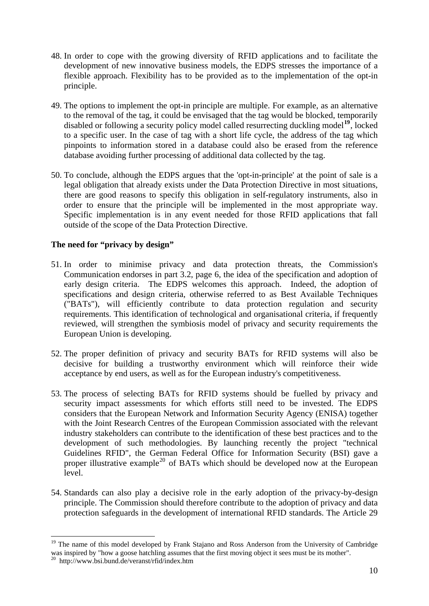- 48. In order to cope with the growing diversity of RFID applications and to facilitate the development of new innovative business models, the EDPS stresses the importance of a flexible approach. Flexibility has to be provided as to the implementation of the opt-in principle.
- 49. The options to implement the opt-in principle are multiple. For example, as an alternative to the removal of the tag, it could be envisaged that the tag would be blocked, temporarily disabled or following a security policy model called resurrecting duckling model**[19](#page-9-0)**, locked to a specific user. In the case of tag with a short life cycle, the address of the tag which pinpoints to information stored in a database could also be erased from the reference database avoiding further processing of additional data collected by the tag.
- 50. To conclude, although the EDPS argues that the 'opt-in-principle' at the point of sale is a legal obligation that already exists under the Data Protection Directive in most situations, there are good reasons to specify this obligation in self-regulatory instruments, also in order to ensure that the principle will be implemented in the most appropriate way. Specific implementation is in any event needed for those RFID applications that fall outside of the scope of the Data Protection Directive.

# **The need for "privacy by design"**

- 51. In order to minimise privacy and data protection threats, the Commission's Communication endorses in part 3.2, page 6, the idea of the specification and adoption of early design criteria. The EDPS welcomes this approach. Indeed, the adoption of specifications and design criteria, otherwise referred to as Best Available Techniques ("BATs"), will efficiently contribute to data protection regulation and security requirements. This identification of technological and organisational criteria, if frequently reviewed, will strengthen the symbiosis model of privacy and security requirements the European Union is developing.
- 52. The proper definition of privacy and security BATs for RFID systems will also be decisive for building a trustworthy environment which will reinforce their wide acceptance by end users, as well as for the European industry's competitiveness.
- 53. The process of selecting BATs for RFID systems should be fuelled by privacy and security impact assessments for which efforts still need to be invested. The EDPS considers that the European Network and Information Security Agency (ENISA) together with the Joint Research Centres of the European Commission associated with the relevant industry stakeholders can contribute to the identification of these best practices and to the development of such methodologies. By launching recently the project "technical Guidelines RFID", the German Federal Office for Information Security (BSI) gave a proper illustrative example<sup>[20](#page-9-1)</sup> of BATs which should be developed now at the European level.
- 54. Standards can also play a decisive role in the early adoption of the privacy-by-design principle. The Commission should therefore contribute to the adoption of privacy and data protection safeguards in the development of international RFID standards. The Article 29

<span id="page-9-0"></span><sup>&</sup>lt;sup>19</sup> The name of this model developed by Frank Stajano and Ross Anderson from the University of Cambridge was inspired by "how a goose hatchling assumes that the first moving object it sees must be its mother".

<span id="page-9-1"></span><sup>20</sup> http://www.bsi.bund.de/veranst/rfid/index.htm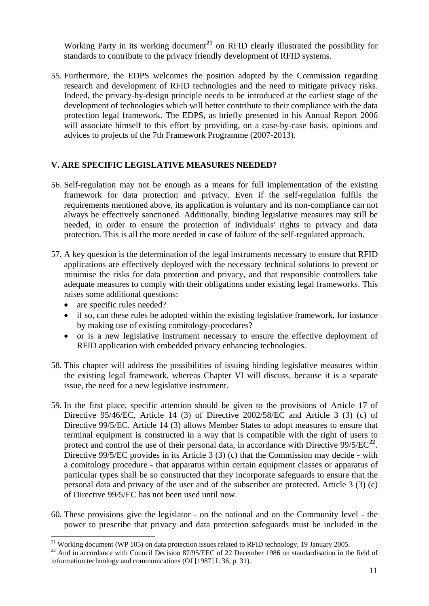Working Party in its working document<sup>21</sup> on RFID clearly illustrated the possibility for standards to contribute to the privacy friendly development of RFID systems.

55. Furthermore, the EDPS welcomes the position adopted by the Commission regarding research and development of RFID technologies and the need to mitigate privacy risks. Indeed, the privacy-by-design principle needs to be introduced at the earliest stage of the development of technologies which will better contribute to their compliance with the data protection legal framework. The EDPS, as briefly presented in his Annual Report 2006 will associate himself to this effort by providing, on a case-by-case basis, opinions and advices to projects of the 7th Framework Programme (2007-2013).

# **V. ARE SPECIFIC LEGISLATIVE MEASURES NEEDED?**

- 56. Self-regulation may not be enough as a means for full implementation of the existing framework for data protection and privacy. Even if the self-regulation fulfils the requirements mentioned above, its application is voluntary and its non-compliance can not always be effectively sanctioned. Additionally, binding legislative measures may still be needed, in order to ensure the protection of individuals' rights to privacy and data protection. This is all the more needed in case of failure of the self-regulated approach.
- 57. A key question is the determination of the legal instruments necessary to ensure that RFID applications are effectively deployed with the necessary technical solutions to prevent or minimise the risks for data protection and privacy, and that responsible controllers take adequate measures to comply with their obligations under existing legal frameworks. This raises some additional questions:
	- are specific rules needed?
	- if so, can these rules be adopted within the existing legislative framework, for instance by making use of existing comitology-procedures?
	- or is a new legislative instrument necessary to ensure the effective deployment of RFID application with embedded privacy enhancing technologies.
- 58. This chapter will address the possibilities of issuing binding legislative measures within the existing legal framework, whereas Chapter VI will discuss, because it is a separate issue, the need for a new legislative instrument.
- 59. In the first place, specific attention should be given to the provisions of Article 17 of Directive 95/46/EC, Article 14 (3) of Directive 2002/58/EC and Article 3 (3) (c) of Directive 99/5/EC. Article 14 (3) allows Member States to adopt measures to ensure that terminal equipment is constructed in a way that is compatible with the right of users to protect and control the use of their personal data, in accordance with Directive  $99/5/EC^{22}$  $99/5/EC^{22}$  $99/5/EC^{22}$ . Directive 99/5/EC provides in its Article 3 (3) (c) that the Commission may decide - with a comitology procedure - that apparatus within certain equipment classes or apparatus of particular types shall be so constructed that they incorporate safeguards to ensure that the personal data and privacy of the user and of the subscriber are protected. Article 3 (3) (c) of Directive 99/5/EC has not been used until now.
- 60. These provisions give the legislator on the national and on the Community level the power to prescribe that privacy and data protection safeguards must be included in the

<sup>1</sup> <sup>21</sup> Working document (WP 105) on data protection issues related to RFID technology, 19 January 2005.

<span id="page-10-0"></span> $^{22}$  And in accordance with Council Decision 87/95/EEC of 22 December 1986 on standardisation in the field of information technology and communications (OJ [1987] L 36, p. 31).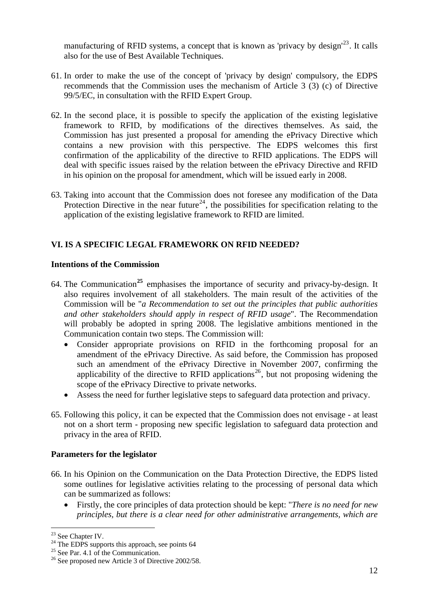manufacturing of RFID systems, a concept that is known as 'privacy by design'<sup>23</sup>. It calls also for the use of Best Available Techniques.

- 61. In order to make the use of the concept of 'privacy by design' compulsory, the EDPS recommends that the Commission uses the mechanism of Article 3 (3) (c) of Directive 99/5/EC, in consultation with the RFID Expert Group.
- 62. In the second place, it is possible to specify the application of the existing legislative framework to RFID, by modifications of the directives themselves. As said, the Commission has just presented a proposal for amending the ePrivacy Directive which contains a new provision with this perspective. The EDPS welcomes this first confirmation of the applicability of the directive to RFID applications. The EDPS will deal with specific issues raised by the relation between the ePrivacy Directive and RFID in his opinion on the proposal for amendment, which will be issued early in 2008.
- 63. Taking into account that the Commission does not foresee any modification of the Data Protection Directive in the near future<sup>[24](#page-11-0)</sup>, the possibilities for specification relating to the application of the existing legislative framework to RFID are limited.

# **VI. IS A SPECIFIC LEGAL FRAMEWORK ON RFID NEEDED?**

# **Intentions of the Commission**

- 64. The Communication**[25](#page-11-1)** emphasises the importance of security and privacy-by-design. It also requires involvement of all stakeholders. The main result of the activities of the Commission will be "*a Recommendation to set out the principles that public authorities and other stakeholders should apply in respect of RFID usage*". The Recommendation will probably be adopted in spring 2008. The legislative ambitions mentioned in the Communication contain two steps. The Commission will:
	- Consider appropriate provisions on RFID in the forthcoming proposal for an amendment of the ePrivacy Directive. As said before, the Commission has proposed such an amendment of the ePrivacy Directive in November 2007, confirming the applicability of the directive to RFID applications<sup>[26](#page-11-2)</sup>, but not proposing widening the scope of the ePrivacy Directive to private networks.
	- Assess the need for further legislative steps to safeguard data protection and privacy.
- 65. Following this policy, it can be expected that the Commission does not envisage at least not on a short term - proposing new specific legislation to safeguard data protection and privacy in the area of RFID.

# **Parameters for the legislator**

- 66. In his Opinion on the Communication on the Data Protection Directive, the EDPS listed some outlines for legislative activities relating to the processing of personal data which can be summarized as follows:
	- Firstly, the core principles of data protection should be kept: "*There is no need for new principles, but there is a clear need for other administrative arrangements, which are*

<sup>1</sup>  $23$  See Chapter IV.

<span id="page-11-0"></span> $24$  The EDPS supports this approach, see points 64

<span id="page-11-1"></span> $25$  See Par. 4.1 of the Communication.

<span id="page-11-2"></span><sup>&</sup>lt;sup>26</sup> See proposed new Article 3 of Directive 2002/58.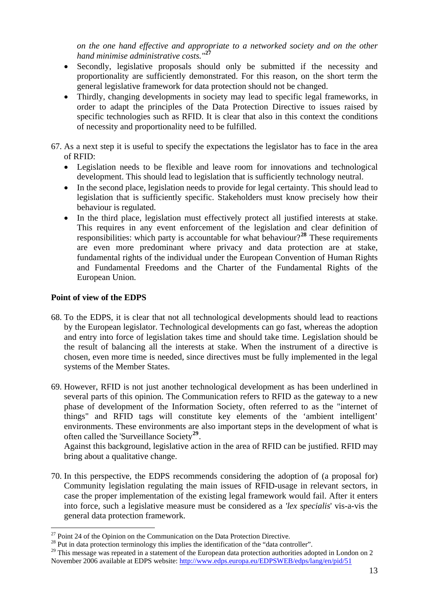*on the one hand effective and appropriate to a networked society and on the other hand minimise administrative costs."***<sup>27</sup>**

- Secondly, legislative proposals should only be submitted if the necessity and proportionality are sufficiently demonstrated. For this reason, on the short term the general legislative framework for data protection should not be changed.
- Thirdly, changing developments in society may lead to specific legal frameworks, in order to adapt the principles of the Data Protection Directive to issues raised by specific technologies such as RFID. It is clear that also in this context the conditions of necessity and proportionality need to be fulfilled.
- 67. As a next step it is useful to specify the expectations the legislator has to face in the area of RFID:
	- Legislation needs to be flexible and leave room for innovations and technological development. This should lead to legislation that is sufficiently technology neutral.
	- In the second place, legislation needs to provide for legal certainty. This should lead to legislation that is sufficiently specific. Stakeholders must know precisely how their behaviour is regulated.
	- In the third place, legislation must effectively protect all justified interests at stake. This requires in any event enforcement of the legislation and clear definition of responsibilities: which party is accountable for what behaviour?**[28](#page-12-0)** These requirements are even more predominant where privacy and data protection are at stake, fundamental rights of the individual under the European Convention of Human Rights and Fundamental Freedoms and the Charter of the Fundamental Rights of the European Union.

# **Point of view of the EDPS**

1

- 68. To the EDPS, it is clear that not all technological developments should lead to reactions by the European legislator. Technological developments can go fast, whereas the adoption and entry into force of legislation takes time and should take time. Legislation should be the result of balancing all the interests at stake. When the instrument of a directive is chosen, even more time is needed, since directives must be fully implemented in the legal systems of the Member States.
- 69. However, RFID is not just another technological development as has been underlined in several parts of this opinion. The Communication refers to RFID as the gateway to a new phase of development of the Information Society, often referred to as the "internet of things" and RFID tags will constitute key elements of the 'ambient intelligent' environments. These environments are also important steps in the development of what is often called the 'Surveillance Society**[29](#page-12-1)**.

Against this background, legislative action in the area of RFID can be justified. RFID may bring about a qualitative change.

70. In this perspective, the EDPS recommends considering the adoption of (a proposal for) Community legislation regulating the main issues of RFID-usage in relevant sectors, in case the proper implementation of the existing legal framework would fail. After it enters into force, such a legislative measure must be considered as a *'lex specialis*' vis-a-vis the general data protection framework.

 $27$  Point 24 of the Opinion on the Communication on the Data Protection Directive.

<span id="page-12-0"></span><sup>&</sup>lt;sup>28</sup> Put in data protection terminology this implies the identification of the "data controller".

<span id="page-12-1"></span><sup>&</sup>lt;sup>29</sup> This message was repeated in a statement of the European data protection authorities adopted in London on 2 November 2006 available at EDPS website:<http://www.edps.europa.eu/EDPSWEB/edps/lang/en/pid/51>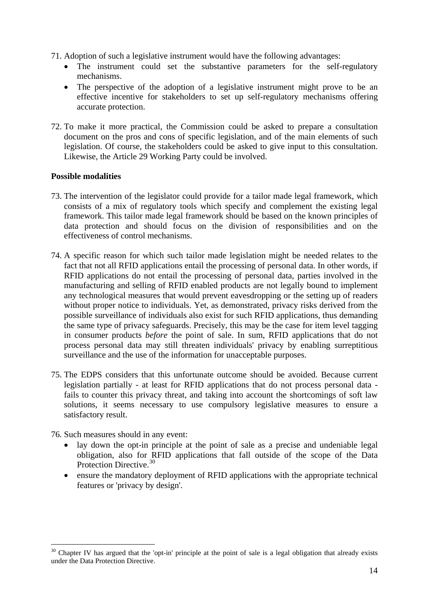- 71. Adoption of such a legislative instrument would have the following advantages:
	- The instrument could set the substantive parameters for the self-regulatory mechanisms.
	- The perspective of the adoption of a legislative instrument might prove to be an effective incentive for stakeholders to set up self-regulatory mechanisms offering accurate protection.
- 72. To make it more practical, the Commission could be asked to prepare a consultation document on the pros and cons of specific legislation, and of the main elements of such legislation. Of course, the stakeholders could be asked to give input to this consultation. Likewise, the Article 29 Working Party could be involved.

## **Possible modalities**

- 73. The intervention of the legislator could provide for a tailor made legal framework, which consists of a mix of regulatory tools which specify and complement the existing legal framework. This tailor made legal framework should be based on the known principles of data protection and should focus on the division of responsibilities and on the effectiveness of control mechanisms.
- 74. A specific reason for which such tailor made legislation might be needed relates to the fact that not all RFID applications entail the processing of personal data. In other words, if RFID applications do not entail the processing of personal data, parties involved in the manufacturing and selling of RFID enabled products are not legally bound to implement any technological measures that would prevent eavesdropping or the setting up of readers without proper notice to individuals. Yet, as demonstrated, privacy risks derived from the possible surveillance of individuals also exist for such RFID applications, thus demanding the same type of privacy safeguards. Precisely, this may be the case for item level tagging in consumer products *before* the point of sale. In sum, RFID applications that do not process personal data may still threaten individuals' privacy by enabling surreptitious surveillance and the use of the information for unacceptable purposes.
- 75. The EDPS considers that this unfortunate outcome should be avoided. Because current legislation partially - at least for RFID applications that do not process personal data fails to counter this privacy threat, and taking into account the shortcomings of soft law solutions, it seems necessary to use compulsory legislative measures to ensure a satisfactory result.

76. Such measures should in any event:

- lay down the opt-in principle at the point of sale as a precise and undeniable legal obligation, also for RFID applications that fall outside of the scope of the Data Protection Directive.<sup>[30](#page-13-0)</sup>
- ensure the mandatory deployment of RFID applications with the appropriate technical features or 'privacy by design'.

<span id="page-13-0"></span> $30$  Chapter IV has argued that the 'opt-in' principle at the point of sale is a legal obligation that already exists under the Data Protection Directive.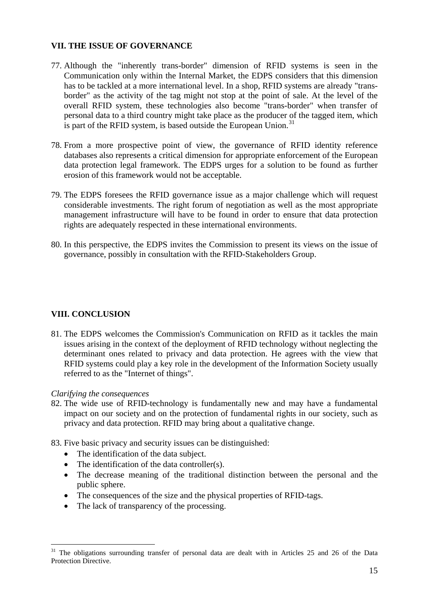## **VII. THE ISSUE OF GOVERNANCE**

- 77. Although the "inherently trans-border" dimension of RFID systems is seen in the Communication only within the Internal Market, the EDPS considers that this dimension has to be tackled at a more international level. In a shop, RFID systems are already "transborder" as the activity of the tag might not stop at the point of sale. At the level of the overall RFID system, these technologies also become "trans-border" when transfer of personal data to a third country might take place as the producer of the tagged item, which is part of the RFID system, is based outside the European Union. $31$
- 78. From a more prospective point of view, the governance of RFID identity reference databases also represents a critical dimension for appropriate enforcement of the European data protection legal framework. The EDPS urges for a solution to be found as further erosion of this framework would not be acceptable.
- 79. The EDPS foresees the RFID governance issue as a major challenge which will request considerable investments. The right forum of negotiation as well as the most appropriate management infrastructure will have to be found in order to ensure that data protection rights are adequately respected in these international environments.
- 80. In this perspective, the EDPS invites the Commission to present its views on the issue of governance, possibly in consultation with the RFID-Stakeholders Group.

# **VIII. CONCLUSION**

81. The EDPS welcomes the Commission's Communication on RFID as it tackles the main issues arising in the context of the deployment of RFID technology without neglecting the determinant ones related to privacy and data protection. He agrees with the view that RFID systems could play a key role in the development of the Information Society usually referred to as the "Internet of things".

# *Clarifying the consequences*

- 82. The wide use of RFID-technology is fundamentally new and may have a fundamental impact on our society and on the protection of fundamental rights in our society, such as privacy and data protection. RFID may bring about a qualitative change.
- 83. Five basic privacy and security issues can be distinguished:
	- The identification of the data subject.
	- The identification of the data controller(s).
	- The decrease meaning of the traditional distinction between the personal and the public sphere.
	- The consequences of the size and the physical properties of RFID-tags.
	- The lack of transparency of the processing.

<span id="page-14-0"></span> $31$  The obligations surrounding transfer of personal data are dealt with in Articles 25 and 26 of the Data Protection Directive.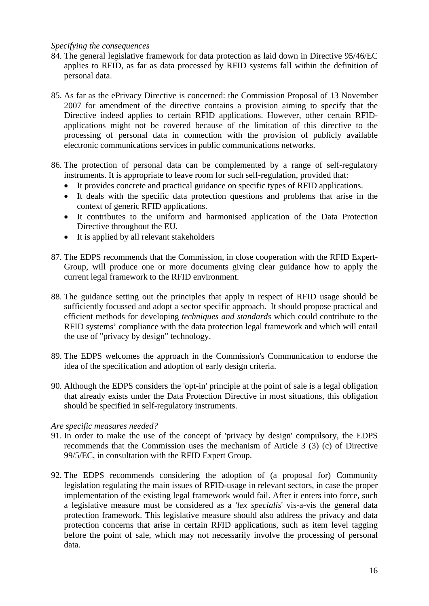#### *Specifying the consequences*

- 84. The general legislative framework for data protection as laid down in Directive 95/46/EC applies to RFID, as far as data processed by RFID systems fall within the definition of personal data.
- 85. As far as the ePrivacy Directive is concerned: the Commission Proposal of 13 November 2007 for amendment of the directive contains a provision aiming to specify that the Directive indeed applies to certain RFID applications. However, other certain RFIDapplications might not be covered because of the limitation of this directive to the processing of personal data in connection with the provision of publicly available electronic communications services in public communications networks.
- 86. The protection of personal data can be complemented by a range of self-regulatory instruments. It is appropriate to leave room for such self-regulation, provided that:
	- It provides concrete and practical guidance on specific types of RFID applications.
	- It deals with the specific data protection questions and problems that arise in the context of generic RFID applications.
	- It contributes to the uniform and harmonised application of the Data Protection Directive throughout the EU.
	- It is applied by all relevant stakeholders
- 87. The EDPS recommends that the Commission, in close cooperation with the RFID Expert-Group, will produce one or more documents giving clear guidance how to apply the current legal framework to the RFID environment.
- 88. The guidance setting out the principles that apply in respect of RFID usage should be sufficiently focussed and adopt a sector specific approach. It should propose practical and efficient methods for developing *techniques and standards* which could contribute to the RFID systems' compliance with the data protection legal framework and which will entail the use of "privacy by design" technology.
- 89. The EDPS welcomes the approach in the Commission's Communication to endorse the idea of the specification and adoption of early design criteria.
- 90. Although the EDPS considers the 'opt-in' principle at the point of sale is a legal obligation that already exists under the Data Protection Directive in most situations, this obligation should be specified in self-regulatory instruments.

#### *Are specific measures needed?*

- 91. In order to make the use of the concept of 'privacy by design' compulsory, the EDPS recommends that the Commission uses the mechanism of Article 3 (3) (c) of Directive 99/5/EC, in consultation with the RFID Expert Group.
- 92. The EDPS recommends considering the adoption of (a proposal for) Community legislation regulating the main issues of RFID-usage in relevant sectors, in case the proper implementation of the existing legal framework would fail. After it enters into force, such a legislative measure must be considered as a *'lex specialis*' vis-a-vis the general data protection framework. This legislative measure should also address the privacy and data protection concerns that arise in certain RFID applications, such as item level tagging before the point of sale, which may not necessarily involve the processing of personal data.